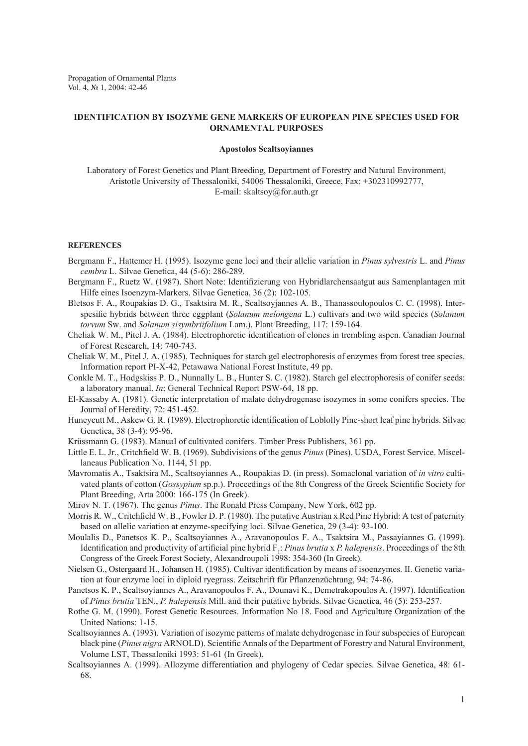Propagation of Ornamental Plants Vol. 4, № 1, 2004: 42-46

## **IDENTIFICATION BY ISOZYME GENE MARKERS OF EUROPEAN PINE SPECIES USED FOR ORNAMENTAL PURPOSES**

## **Apostolos Scaltsoyiannes**

Laboratory of Forest Genetics and Plant Breeding, Department of Forestry and Natural Environment, Aristotle University of Thessaloniki, 54006 Thessaloniki, Greece, Fax: +302310992777, E-mail: skaltsoy@for.auth.gr

## **REFERENCES**

- Bergmann F., Hattemer H. (1995). Isozyme gene loci and their allelic variation in *Pinus sylvestris* L. and *Pinus cembra* L. Silvae Genetica, 44 (5-6): 286-289.
- Bergmann F., Ruetz W. (1987). Short Note: Identifizierung von Hybridlarchensaatgut aus Samenplantagen mit Hilfe eines Isoenzym-Markers. Silvae Genetica, 36 (2): 102-105.
- Bletsos F. A., Roupakias D. G., Tsaktsira M. R., Scaltsoyjannes A. B., Thanassoulopoulos C. C. (1998). Interspesific hybrids between three eggplant (*Solanum melongena* L.) cultivars and two wild species (*Solanum torvum* Sw. and *Solanum sisymbriifolium* Lam.). Plant Breeding, 117: 159-164.
- Cheliak W. M., Pitel J. A. (1984). Electrophoretic identification of clones in trembling aspen. Canadian Journal of Forest Research, 14: 740-743.
- Cheliak W. M., Pitel J. A. (1985). Techniques for starch gel electrophoresis of enzymes from forest tree species. Information report PI-X-42, Petawawa National Forest Institute, 49 pp.
- Conkle M. T., Hodgskiss P. D., Nunnally L. B., Hunter S. C. (1982). Starch gel electrophoresis of conifer seeds: a laboratory manual. *In*: General Technical Report PSW-64, 18 pp.
- El-Kassaby A. (1981). Genetic interpretation of malate dehydrogenase isozymes in some conifers species. The Journal of Heredity, 72: 451-452.
- Huneycutt M., Askew G. R. (1989). Electrophoretic identification of Loblolly Pine-short leaf pine hybrids. Silvae Genetica, 38 (3-4): 95-96.
- Krüssmann G. (1983). Manual of cultivated conifers. Timber Press Publishers, 361 pp.
- Little E. L. Jr., Critchfield W. B. (1969). Subdivisions of the genus *Pinus* (Pines). USDA, Forest Service. Miscellaneaus Publication No. 1144, 51 pp.
- Mavromatis A., Tsaktsira M., Scaltsoyiannes A., Roupakias D. (in press). Somaclonal variation of *in vitro* cultivated plants of cotton (*Gossypium* sp.p.). Proceedings of the 8th Congress of the Greek Scientific Society for Plant Breeding, Arta 2000: 166-175 (In Greek).
- Mirov N. T. (1967). The genus *Pinus*. The Ronald Press Company, New York, 602 pp.
- Morris R. W., Critchfield W. B., Fowler D. P. (1980). The putative Austrian x Red Pine Hybrid: A test of paternity based on allelic variation at enzyme-specifying loci. Silvae Genetica, 29 (3-4): 93-100.
- Moulalis D., Panetsos K. P., Scaltsoyiannes A., Aravanopoulos F. A., Tsaktsira M., Passayiannes G. (1999). Identification and productivity of artificial pine hybrid  $F_1$ : *Pinus brutia* x *P. halepensis*. Proceedings of the 8th Congress of the Greek Forest Society, Alexandroupoli 1998: 354-360 (In Greek).
- Nielsen G., Ostergaard H., Johansen H. (1985). Cultivar identification by means of isoenzymes. II. Genetic variation at four enzyme loci in diploid ryegrass. Zeitschrift für Pflanzenzüchtung, 94: 74-86.
- Panetsos K. P., Scaltsoyiannes A., Aravanopoulos F. A., Dounavi K., Demetrakopoulos A. (1997). Identification of *Pinus brutia* TEN., *P. halepensis* Mill. and their putative hybrids. Silvae Genetica, 46 (5): 253-257.
- Rothe G. M. (1990). Forest Genetic Resources. Information No 18. Food and Agriculture Organization of the United Nations: 1-15.
- Scaltsoyiannes A. (1993). Variation of isozyme patterns of malate dehydrogenase in four subspecies of European black pine (*Pinus nigra* ARNOLD). Scientific Annals of the Department of Forestry and Natural Environment, Volume LST, Thessaloniki 1993: 51-61 (In Greek).
- Scaltsoyiannes A. (1999). Allozyme differentiation and phylogeny of Cedar species. Silvae Genetica, 48: 61- 68.